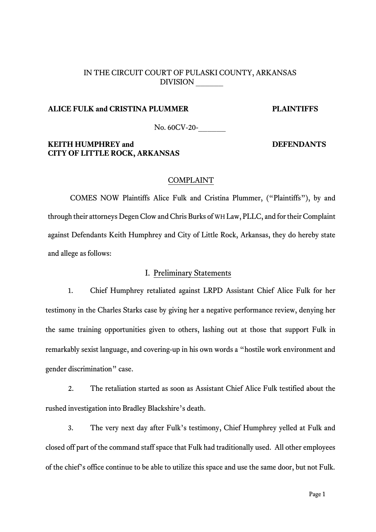## IN THE CIRCUIT COURT OF PULASKI COUNTY, ARKANSAS DIVISION \_\_\_\_\_\_

### **ALICE FULK and CRISTINA PLUMMER PLAINTIFFS**

No. 60CV-20-

## **KEITH HUMPHREY and DEFENDANTS CITY OF LITTLE ROCK, ARKANSAS**

#### COMPLAINT

COMES NOW Plaintiffs Alice Fulk and Cristina Plummer, ("Plaintiffs"), by and through their attorneys Degen Clow and Chris Burks of WH Law, PLLC, and for their Complaint against Defendants Keith Humphrey and City of Little Rock, Arkansas, they do hereby state and allege as follows:

## I. Preliminary Statements

1. Chief Humphrey retaliated against LRPD Assistant Chief Alice Fulk for her testimony in the Charles Starks case by giving her a negative performance review, denying her the same training opportunities given to others, lashing out at those that support Fulk in remarkably sexist language, and covering-up in his own words a "hostile work environment and gender discrimination" case.

2. The retaliation started as soon as Assistant Chief Alice Fulk testified about the rushed investigation into Bradley Blackshire's death.

3. The very next day after Fulk's testimony, Chief Humphrey yelled at Fulk and closed off part of the command staff space that Fulk had traditionally used. All other employees of the chief's office continue to be able to utilize this space and use the same door, but not Fulk.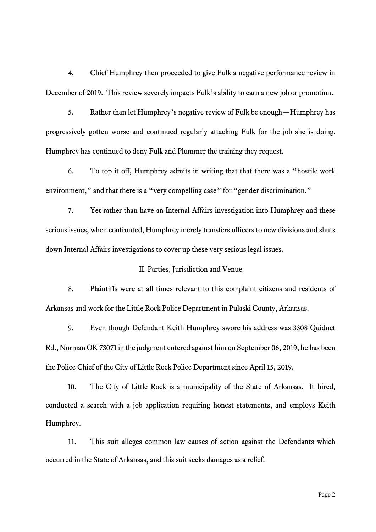4. Chief Humphrey then proceeded to give Fulk a negative performance review in December of 2019. This review severely impacts Fulk's ability to earn a new job or promotion.

5. Rather than let Humphrey's negative review of Fulk be enough—Humphrey has progressively gotten worse and continued regularly attacking Fulk for the job she is doing. Humphrey has continued to deny Fulk and Plummer the training they request.

6. To top it off, Humphrey admits in writing that that there was a "hostile work environment," and that there is a "very compelling case" for "gender discrimination."

7. Yet rather than have an Internal Affairs investigation into Humphrey and these serious issues, when confronted, Humphrey merely transfers officers to new divisions and shuts down Internal Affairs investigations to cover up these very serious legal issues.

### II. Parties, Jurisdiction and Venue

8. Plaintiffs were at all times relevant to this complaint citizens and residents of Arkansas and work for the Little Rock Police Department in Pulaski County, Arkansas.

9. Even though Defendant Keith Humphrey swore his address was 3308 Quidnet Rd., Norman OK 73071 in the judgment entered against him on September 06, 2019, he has been the Police Chief of the City of Little Rock Police Department since April 15, 2019.

10. The City of Little Rock is a municipality of the State of Arkansas. It hired, conducted a search with a job application requiring honest statements, and employs Keith Humphrey.

11. This suit alleges common law causes of action against the Defendants which occurred in the State of Arkansas, and this suit seeks damages as a relief.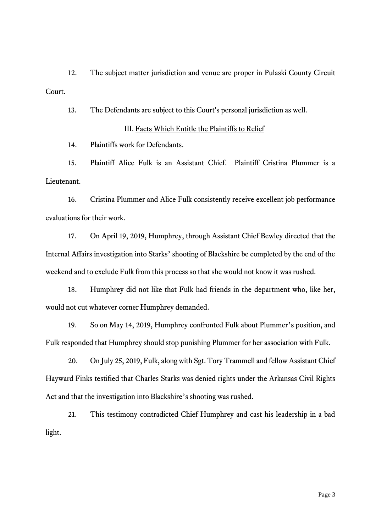12. The subject matter jurisdiction and venue are proper in Pulaski County Circuit Court.

13. The Defendants are subject to this Court's personal jurisdiction as well.

#### III. Facts Which Entitle the Plaintiffs to Relief

14. Plaintiffs work for Defendants.

15. Plaintiff Alice Fulk is an Assistant Chief. Plaintiff Cristina Plummer is a Lieutenant.

16. Cristina Plummer and Alice Fulk consistently receive excellent job performance evaluations for their work.

17. On April 19, 2019, Humphrey, through Assistant Chief Bewley directed that the Internal Affairs investigation into Starks' shooting of Blackshire be completed by the end of the weekend and to exclude Fulk from this process so that she would not know it was rushed.

18. Humphrey did not like that Fulk had friends in the department who, like her, would not cut whatever corner Humphrey demanded.

19. So on May 14, 2019, Humphrey confronted Fulk about Plummer's position, and Fulk responded that Humphrey should stop punishing Plummer for her association with Fulk.

20. On July 25, 2019, Fulk, along with Sgt. Tory Trammell and fellow Assistant Chief Hayward Finks testified that Charles Starks was denied rights under the Arkansas Civil Rights Act and that the investigation into Blackshire's shooting was rushed.

21. This testimony contradicted Chief Humphrey and cast his leadership in a bad light.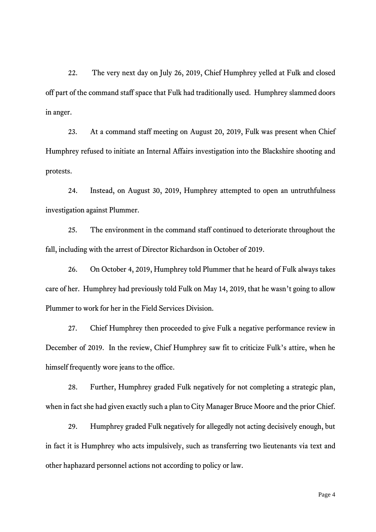22. The very next day on July 26, 2019, Chief Humphrey yelled at Fulk and closed off part of the command staff space that Fulk had traditionally used. Humphrey slammed doors in anger.

23. At a command staff meeting on August 20, 2019, Fulk was present when Chief Humphrey refused to initiate an Internal Affairs investigation into the Blackshire shooting and protests.

24. Instead, on August 30, 2019, Humphrey attempted to open an untruthfulness investigation against Plummer.

25. The environment in the command staff continued to deteriorate throughout the fall, including with the arrest of Director Richardson in October of 2019.

26. On October 4, 2019, Humphrey told Plummer that he heard of Fulk always takes care of her. Humphrey had previously told Fulk on May 14, 2019, that he wasn't going to allow Plummer to work for her in the Field Services Division.

27. Chief Humphrey then proceeded to give Fulk a negative performance review in December of 2019. In the review, Chief Humphrey saw fit to criticize Fulk's attire, when he himself frequently wore jeans to the office.

28. Further, Humphrey graded Fulk negatively for not completing a strategic plan, when in fact she had given exactly such a plan to City Manager Bruce Moore and the prior Chief.

29. Humphrey graded Fulk negatively for allegedly not acting decisively enough, but in fact it is Humphrey who acts impulsively, such as transferring two lieutenants via text and other haphazard personnel actions not according to policy or law.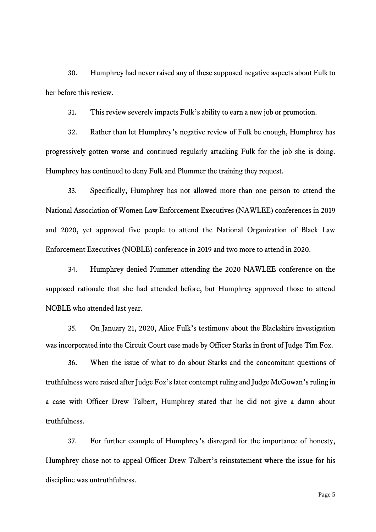30. Humphrey had never raised any of these supposed negative aspects about Fulk to her before this review.

31. This review severely impacts Fulk's ability to earn a new job or promotion.

32. Rather than let Humphrey's negative review of Fulk be enough, Humphrey has progressively gotten worse and continued regularly attacking Fulk for the job she is doing. Humphrey has continued to deny Fulk and Plummer the training they request.

33. Specifically, Humphrey has not allowed more than one person to attend the National Association of Women Law Enforcement Executives (NAWLEE) conferences in 2019 and 2020, yet approved five people to attend the National Organization of Black Law Enforcement Executives (NOBLE) conference in 2019 and two more to attend in 2020.

34. Humphrey denied Plummer attending the 2020 NAWLEE conference on the supposed rationale that she had attended before, but Humphrey approved those to attend NOBLE who attended last year.

35. On January 21, 2020, Alice Fulk's testimony about the Blackshire investigation was incorporated into the Circuit Court case made by Officer Starks in front of Judge Tim Fox.

36. When the issue of what to do about Starks and the concomitant questions of truthfulness were raised after Judge Fox's later contempt ruling and Judge McGowan's ruling in a case with Officer Drew Talbert, Humphrey stated that he did not give a damn about truthfulness.

37. For further example of Humphrey's disregard for the importance of honesty, Humphrey chose not to appeal Officer Drew Talbert's reinstatement where the issue for his discipline was untruthfulness.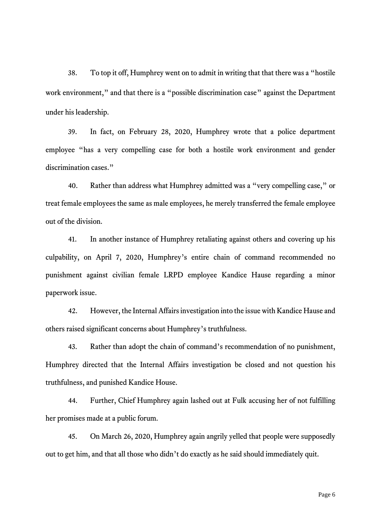38. To top it off, Humphrey went on to admit in writing that that there was a "hostile work environment," and that there is a "possible discrimination case" against the Department under his leadership.

39. In fact, on February 28, 2020, Humphrey wrote that a police department employee "has a very compelling case for both a hostile work environment and gender discrimination cases."

40. Rather than address what Humphrey admitted was a "very compelling case," or treat female employees the same as male employees, he merely transferred the female employee out of the division.

41. In another instance of Humphrey retaliating against others and covering up his culpability, on April 7, 2020, Humphrey's entire chain of command recommended no punishment against civilian female LRPD employee Kandice Hause regarding a minor paperwork issue.

42. However, the Internal Affairs investigation into the issue with Kandice Hause and others raised significant concerns about Humphrey's truthfulness.

43. Rather than adopt the chain of command's recommendation of no punishment, Humphrey directed that the Internal Affairs investigation be closed and not question his truthfulness, and punished Kandice House.

44. Further, Chief Humphrey again lashed out at Fulk accusing her of not fulfilling her promises made at a public forum.

45. On March 26, 2020, Humphrey again angrily yelled that people were supposedly out to get him, and that all those who didn't do exactly as he said should immediately quit.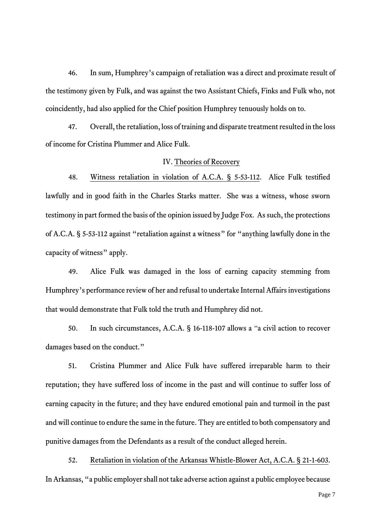46. In sum, Humphrey's campaign of retaliation was a direct and proximate result of the testimony given by Fulk, and was against the two Assistant Chiefs, Finks and Fulk who, not coincidently, had also applied for the Chief position Humphrey tenuously holds on to.

47. Overall, the retaliation, loss of training and disparate treatment resulted in the loss of income for Cristina Plummer and Alice Fulk.

#### IV. Theories of Recovery

48. Witness retaliation in violation of A.C.A. § 5-53-112. Alice Fulk testified lawfully and in good faith in the Charles Starks matter. She was a witness, whose sworn testimony in part formed the basis of the opinion issued by Judge Fox. As such, the protections of A.C.A. § 5-53-112 against "retaliation against a witness" for "anything lawfully done in the capacity of witness" apply.

49. Alice Fulk was damaged in the loss of earning capacity stemming from Humphrey's performance review of her and refusal to undertake Internal Affairs investigations that would demonstrate that Fulk told the truth and Humphrey did not.

50. In such circumstances, A.C.A. § 16-118-107 allows a "a civil action to recover damages based on the conduct."

51. Cristina Plummer and Alice Fulk have suffered irreparable harm to their reputation; they have suffered loss of income in the past and will continue to suffer loss of earning capacity in the future; and they have endured emotional pain and turmoil in the past and will continue to endure the same in the future. They are entitled to both compensatory and punitive damages from the Defendants as a result of the conduct alleged herein.

52. Retaliation in violation of the Arkansas Whistle-Blower Act, A.C.A. § 21-1-603. In Arkansas, "a public employer shall not take adverse action against a public employee because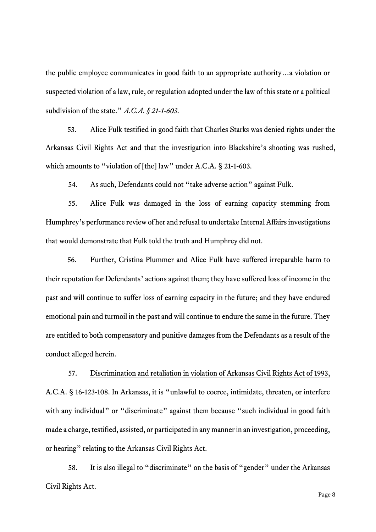the public employee communicates in good faith to an appropriate authority…a violation or suspected violation of a law, rule, or regulation adopted under the law of this state or a political subdivision of the state." *A.C.A. § 21-1-603*.

53. Alice Fulk testified in good faith that Charles Starks was denied rights under the Arkansas Civil Rights Act and that the investigation into Blackshire's shooting was rushed, which amounts to "violation of [the] law" under A.C.A. § 21-1-603.

54. As such, Defendants could not "take adverse action" against Fulk.

55. Alice Fulk was damaged in the loss of earning capacity stemming from Humphrey's performance review of her and refusal to undertake Internal Affairs investigations that would demonstrate that Fulk told the truth and Humphrey did not.

56. Further, Cristina Plummer and Alice Fulk have suffered irreparable harm to their reputation for Defendants' actions against them; they have suffered loss of income in the past and will continue to suffer loss of earning capacity in the future; and they have endured emotional pain and turmoil in the past and will continue to endure the same in the future. They are entitled to both compensatory and punitive damages from the Defendants as a result of the conduct alleged herein.

57. Discrimination and retaliation in violation of Arkansas Civil Rights Act of 1993, A.C.A. § 16-123-108. In Arkansas, it is "unlawful to coerce, intimidate, threaten, or interfere with any individual" or "discriminate" against them because "such individual in good faith made a charge, testified, assisted, or participated in any manner in an investigation, proceeding, or hearing" relating to the Arkansas Civil Rights Act.

58. It is also illegal to "discriminate" on the basis of "gender" under the Arkansas Civil Rights Act.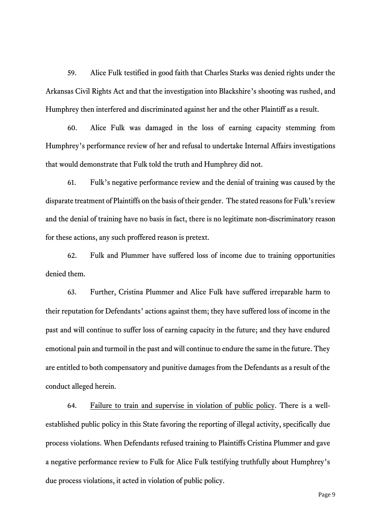59. Alice Fulk testified in good faith that Charles Starks was denied rights under the Arkansas Civil Rights Act and that the investigation into Blackshire's shooting was rushed, and Humphrey then interfered and discriminated against her and the other Plaintiff as a result.

60. Alice Fulk was damaged in the loss of earning capacity stemming from Humphrey's performance review of her and refusal to undertake Internal Affairs investigations that would demonstrate that Fulk told the truth and Humphrey did not.

61. Fulk's negative performance review and the denial of training was caused by the disparate treatment of Plaintiffs on the basis of their gender. The stated reasons for Fulk's review and the denial of training have no basis in fact, there is no legitimate non-discriminatory reason for these actions, any such proffered reason is pretext.

62. Fulk and Plummer have suffered loss of income due to training opportunities denied them.

63. Further, Cristina Plummer and Alice Fulk have suffered irreparable harm to their reputation for Defendants' actions against them; they have suffered loss of income in the past and will continue to suffer loss of earning capacity in the future; and they have endured emotional pain and turmoil in the past and will continue to endure the same in the future. They are entitled to both compensatory and punitive damages from the Defendants as a result of the conduct alleged herein.

64. Failure to train and supervise in violation of public policy. There is a wellestablished public policy in this State favoring the reporting of illegal activity, specifically due process violations. When Defendants refused training to Plaintiffs Cristina Plummer and gave a negative performance review to Fulk for Alice Fulk testifying truthfully about Humphrey's due process violations, it acted in violation of public policy.